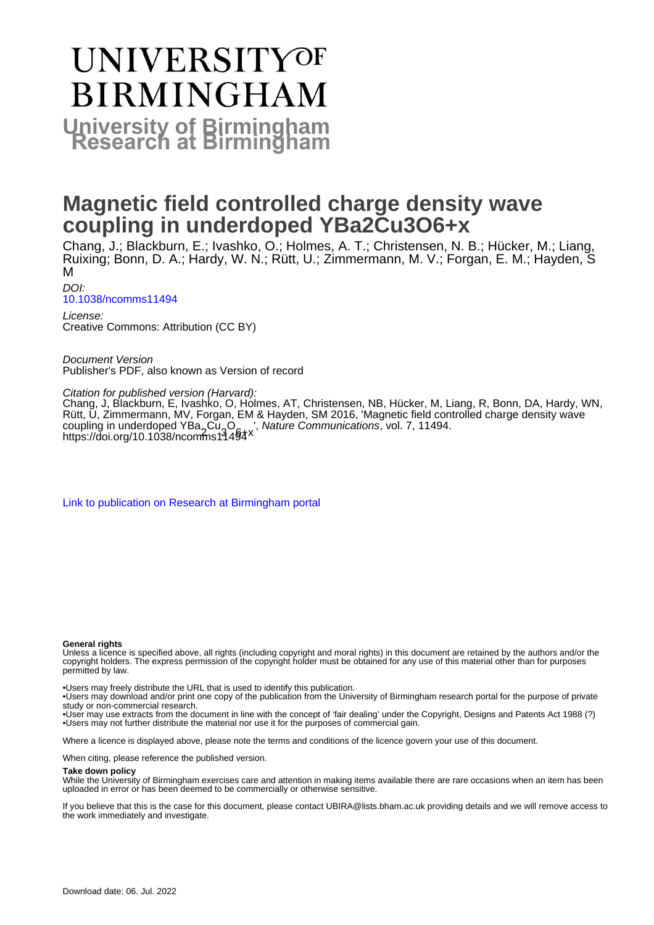# UNIVERSITYOF **BIRMINGHAM University of Birmingham**

## **Magnetic field controlled charge density wave coupling in underdoped YBa2Cu3O6+x**

Chang, J.; Blackburn, E.; Ivashko, O.; Holmes, A. T.; Christensen, N. B.; Hücker, M.; Liang, Ruixing; Bonn, D. A.; Hardy, W. N.; Rütt, U.; Zimmermann, M. V.; Forgan, E. M.; Hayden, S M

DOI: [10.1038/ncomms11494](https://doi.org/10.1038/ncomms11494)

License: Creative Commons: Attribution (CC BY)

Document Version Publisher's PDF, also known as Version of record

Citation for published version (Harvard):

Chang, J, Blackburn, E, Ivashko, O, Holmes, AT, Christensen, NB, Hücker, M, Liang, R, Bonn, DA, Hardy, WN, Rütt, U, Zimmermann, MV, Forgan, EM & Hayden, SM 2016, 'Magnetic field controlled charge density wave coupling in underdoped YBa<sub>2</sub>Cu<sub>2</sub>O<sub>saa</sub>v', *Nature Communications*, vol. 7, 11494.<br><https://doi.org/10.1038/ncomms11494>

[Link to publication on Research at Birmingham portal](https://birmingham.elsevierpure.com/en/publications/d285a335-48cf-49be-ba0f-68c3cb11672f)

#### **General rights**

Unless a licence is specified above, all rights (including copyright and moral rights) in this document are retained by the authors and/or the copyright holders. The express permission of the copyright holder must be obtained for any use of this material other than for purposes permitted by law.

• Users may freely distribute the URL that is used to identify this publication.

• Users may download and/or print one copy of the publication from the University of Birmingham research portal for the purpose of private study or non-commercial research.

• User may use extracts from the document in line with the concept of 'fair dealing' under the Copyright, Designs and Patents Act 1988 (?) • Users may not further distribute the material nor use it for the purposes of commercial gain.

Where a licence is displayed above, please note the terms and conditions of the licence govern your use of this document.

When citing, please reference the published version.

#### **Take down policy**

While the University of Birmingham exercises care and attention in making items available there are rare occasions when an item has been uploaded in error or has been deemed to be commercially or otherwise sensitive.

If you believe that this is the case for this document, please contact UBIRA@lists.bham.ac.uk providing details and we will remove access to the work immediately and investigate.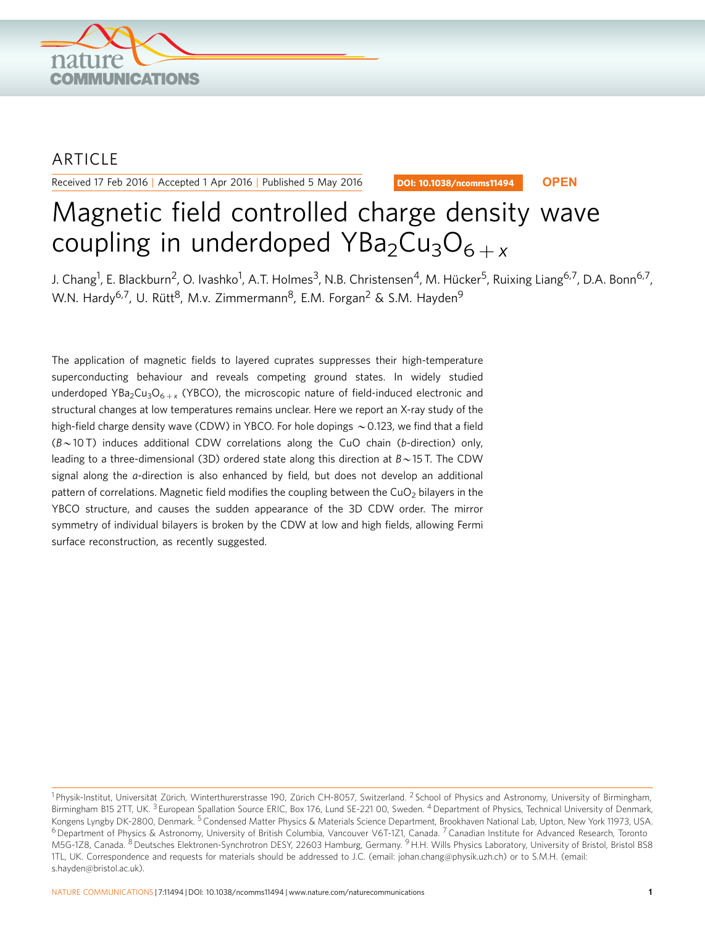

### ARTICLE

Received 17 Feb 2016 | Accepted 1 Apr 2016 | Published 5 May 2016

DOI: 10.1038/ncomms11494 **OPEN**

## Magnetic field controlled charge density wave coupling in underdoped YBa<sub>2</sub>Cu<sub>3</sub>O<sub>6 + x</sub>

J. Chang<sup>1</sup>, E. Blackburn<sup>2</sup>, O. Ivashko<sup>1</sup>, A.T. Holmes<sup>3</sup>, N.B. Christensen<sup>4</sup>, M. Hücker<sup>5</sup>, Ruixing Liang<sup>6,7</sup>, D.A. Bonn<sup>6,7</sup>, W.N. Hardy<sup>6,7</sup>, U. Rütt<sup>8</sup>, M.v. Zimmermann<sup>8</sup>, E.M. Forgan<sup>2</sup> & S.M. Hayden<sup>9</sup>

The application of magnetic fields to layered cuprates suppresses their high-temperature superconducting behaviour and reveals competing ground states. In widely studied underdoped YBa<sub>2</sub>Cu<sub>3</sub>O<sub>6+x</sub> (YBCO), the microscopic nature of field-induced electronic and structural changes at low temperatures remains unclear. Here we report an X-ray study of the high-field charge density wave (CDW) in YBCO. For hole dopings  $\sim$  0.123, we find that a field  $(B \sim 10 \text{ T})$  induces additional CDW correlations along the CuO chain (b-direction) only, leading to a three-dimensional (3D) ordered state along this direction at  $B \sim 15$  T. The CDW signal along the a-direction is also enhanced by field, but does not develop an additional pattern of correlations. Magnetic field modifies the coupling between the CuO<sub>2</sub> bilayers in the YBCO structure, and causes the sudden appearance of the 3D CDW order. The mirror symmetry of individual bilayers is broken by the CDW at low and high fields, allowing Fermi surface reconstruction, as recently suggested.

<sup>&</sup>lt;sup>1</sup> Physik-Institut, Universität Zürich, Winterthurerstrasse 190, Zürich CH-8057, Switzerland. <sup>2</sup> School of Physics and Astronomy, University of Birmingham, Birmingham B15 2TT, UK.<sup>3</sup> European Spallation Source ERIC, Box 176, Lund SE-221 00, Sweden. <sup>4</sup> Department of Physics, Technical University of Denmark, Kongens Lyngby DK-2800, Denmark. <sup>5</sup> Condensed Matter Physics & Materials Science Department, Brookhaven National Lab, Upton, New York 11973, USA.  $6$  Department of Physics & Astronomy, University of British Columbia, Vancouver V6T-1Z1, Canada. <sup>7</sup> Canadian Institute for Advanced Research, Toronto M5G-1Z8, Canada. 8Deutsches Elektronen-Synchrotron DESY, 22603 Hamburg, Germany. 9H.H. Wills Physics Laboratory, University of Bristol, Bristol BS8 1TL, UK. Correspondence and requests for materials should be addressed to J.C. (email: [johan.chang@physik.uzh.ch](mailto:johan.chang@physik.uzh.ch)) or to S.M.H. (email: [s.hayden@bristol.ac.uk](mailto:s.hayden@bristol.ac.uk)).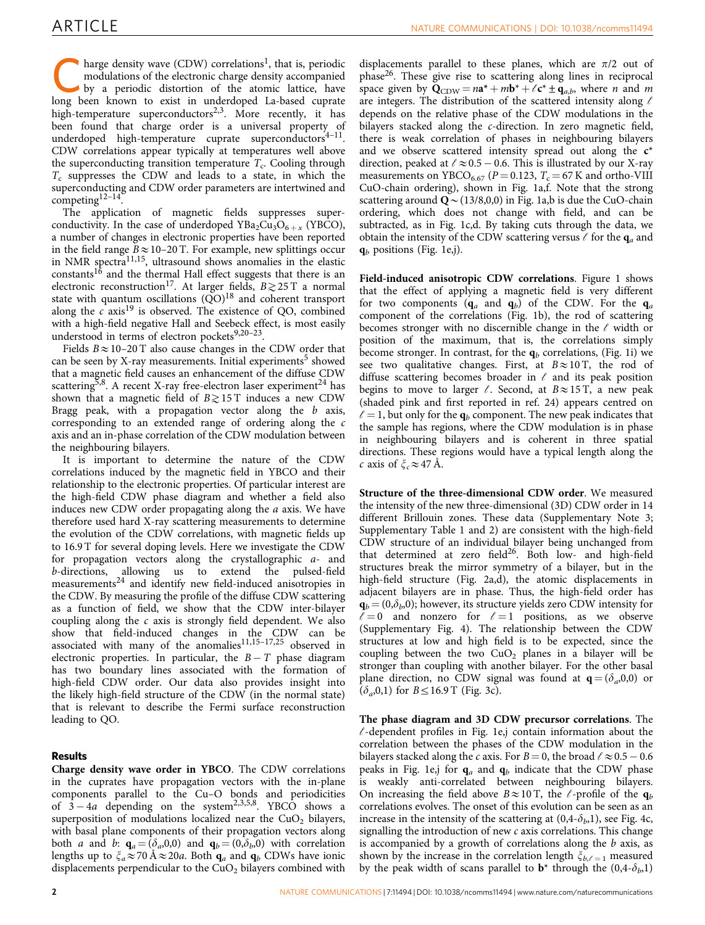harge density wave  $(CDW)$  correlations<sup>1</sup>, that is, periodic modulations of the electronic charge density accompanied by a periodic distortion of the atomic lattice, have long been known to exist in underdoped La-based cuprate high-temperature superconductors<sup>[2,3](#page-6-0)</sup>. More recently, it has been found that charge order is a universal property of underdoped high-temperature cuprate superconductors $4-11$ . CDW correlations appear typically at temperatures well above the superconducting transition temperature  $T_c$ . Cooling through  $T_c$  suppresses the CDW and leads to a state, in which the superconducting and CDW order parameters are intertwined and competing[12–14.](#page-6-0)

The application of magnetic fields suppresses superconductivity. In the case of underdoped  $YBa<sub>2</sub>Cu<sub>3</sub>O<sub>6+x</sub>$  (YBCO), a number of changes in electronic properties have been reported in the field range  $B \approx 10-20$  T. For example, new splittings occur in NMR spectra<sup>11,15</sup>, ultrasound shows anomalies in the elastic constants<sup>[16](#page-6-0)</sup> and the thermal Hall effect suggests that there is an electronic reconstruction<sup>[17](#page-6-0)</sup>. At larger fields,  $B \gtrsim 25$  T a normal state with quantum oscillations  $(QO)^{18}$  and coherent transport along the  $c$  axis<sup>[19](#page-6-0)</sup> is observed. The existence of QO, combined with a high-field negative Hall and Seebeck effect, is most easily understood in terms of electron pockets $9,20-23$ .

Fields  $B \approx 10-20$  T also cause changes in the CDW order that can be seen by X-ray measurements. Initial experiments<sup>[5](#page-6-0)</sup> showed that a magnetic field causes an enhancement of the diffuse CDW scattering<sup>[5,8](#page-6-0)</sup>. A recent X-ray free-electron laser experiment<sup>[24](#page-6-0)</sup> has shown that a magnetic field of  $B \ge 15$  T induces a new CDW Bragg peak, with a propagation vector along the  $b$  axis, corresponding to an extended range of ordering along the c axis and an in-phase correlation of the CDW modulation between the neighbouring bilayers.

It is important to determine the nature of the CDW correlations induced by the magnetic field in YBCO and their relationship to the electronic properties. Of particular interest are the high-field CDW phase diagram and whether a field also induces new CDW order propagating along the a axis. We have therefore used hard X-ray scattering measurements to determine the evolution of the CDW correlations, with magnetic fields up to 16.9 T for several doping levels. Here we investigate the CDW for propagation vectors along the crystallographic  $a$ - and b-directions, allowing us to extend the pulsed-field  $measurable<sup>24</sup>$  $measurable<sup>24</sup>$  $measurable<sup>24</sup>$  and identify new field-induced anisotropies in the CDW. By measuring the profile of the diffuse CDW scattering as a function of field, we show that the CDW inter-bilayer coupling along the  $c$  axis is strongly field dependent. We also show that field-induced changes in the CDW can be associated with many of the anomalies $11,15-17,25$  observed in electronic properties. In particular, the  $B-T$  phase diagram has two boundary lines associated with the formation of high-field CDW order. Our data also provides insight into the likely high-field structure of the CDW (in the normal state) that is relevant to describe the Fermi surface reconstruction leading to QO.

#### Results

Charge density wave order in YBCO. The CDW correlations in the cuprates have propagation vectors with the in-plane components parallel to the Cu–O bonds and periodicities of  $3-4a$  depending on the system<sup>2,3,5,8</sup>. YBCO shows a superposition of modulations localized near the  $CuO<sub>2</sub>$  bilayers, with basal plane components of their propagation vectors along both *a* and *b*:  $\mathbf{q}_a = (\delta_a, 0, 0)$  and  $\mathbf{q}_b = (0, \delta_b, 0)$  with correlation lengths up to  $\xi_a \approx 70 \text{ Å} \approx 20a$ . Both  $\mathbf{q}_a$  and  $\mathbf{q}_b$  CDWs have ionic displacements perpendicular to the  $CuO<sub>2</sub>$  bilayers combined with

displacements parallel to these planes, which are  $\pi/2$  out of phase[26](#page-6-0). These give rise to scattering along lines in reciprocal space given by  $\mathbf{Q}_{\text{CDW}} = n\mathbf{a}^* + m\mathbf{b}^* + \ell \mathbf{c}^* \pm \mathbf{q}_{ab}$ , where *n* and *m* are integers. The distribution of the scattered intensity along  $\ell$ depends on the relative phase of the CDW modulations in the bilayers stacked along the c-direction. In zero magnetic field, there is weak correlation of phases in neighbouring bilayers and we observe scattered intensity spread out along the  $c^*$ direction, peaked at  $\ell \approx 0.5 - 0.6$ . This is illustrated by our X-ray measurements on YBCO<sub>6.67</sub> ( $P = 0.123$ ,  $T_c = 67$  K and ortho-VIII CuO-chain ordering), shown in [Fig. 1a,f.](#page-3-0) Note that the strong scattering around  $\overline{Q} \sim (13/8,0,0)$  in [Fig. 1a,b](#page-3-0) is due the CuO-chain ordering, which does not change with field, and can be subtracted, as in [Fig. 1c,d](#page-3-0). By taking cuts through the data, we obtain the intensity of the CDW scattering versus  $\ell$  for the  $q_a$  and  $q<sub>b</sub>$  positions ([Fig. 1e,j\)](#page-3-0).

Field-induced anisotropic CDW correlations. [Figure 1](#page-3-0) shows that the effect of applying a magnetic field is very different for two components  $(q_a \text{ and } q_b)$  of the CDW. For the  $q_a$ component of the correlations ([Fig. 1b](#page-3-0)), the rod of scattering becomes stronger with no discernible change in the  $\ell$  width or position of the maximum, that is, the correlations simply become stronger. In contrast, for the  $q_b$  correlations, [\(Fig. 1i](#page-3-0)) we see two qualitative changes. First, at  $B \approx 10$  T, the rod of diffuse scattering becomes broader in  $\ell$  and its peak position begins to move to larger  $\ell$ . Second, at  $B \approx 15$  T, a new peak (shaded pink and first reported in [ref. 24](#page-6-0)) appears centred on  $\ell = 1$ , but only for the  $q_b$  component. The new peak indicates that the sample has regions, where the CDW modulation is in phase in neighbouring bilayers and is coherent in three spatial directions. These regions would have a typical length along the c axis of  $\xi_c \approx 47$  Å.

Structure of the three-dimensional CDW order. We measured the intensity of the new three-dimensional (3D) CDW order in 14 different Brillouin zones. These data (Supplementary Note 3; Supplementary Table 1 and 2) are consistent with the high-field CDW structure of an individual bilayer being unchanged from that determined at zero field<sup>[26](#page-6-0)</sup>. Both low- and high-field structures break the mirror symmetry of a bilayer, but in the high-field structure ([Fig. 2a,d](#page-4-0)), the atomic displacements in adjacent bilayers are in phase. Thus, the high-field order has  $\mathbf{q}_b = (0,\delta_b,0)$ ; however, its structure yields zero CDW intensity for  $\ell = 0$  and nonzero for  $\ell = 1$  positions, as we observe (Supplementary Fig. 4). The relationship between the CDW structures at low and high field is to be expected, since the coupling between the two  $CuO<sub>2</sub>$  planes in a bilayer will be stronger than coupling with another bilayer. For the other basal plane direction, no CDW signal was found at  $\mathbf{q} = (\delta_a, 0, 0)$  or  $(\delta_a, 0, 1)$  for  $B \le 16.9$  T ([Fig. 3c](#page-4-0)).

The phase diagram and 3D CDW precursor correlations. The  $\ell$ -dependent profiles in [Fig. 1e,j](#page-3-0) contain information about the correlation between the phases of the CDW modulation in the bilayers stacked along the *c* axis. For  $B = 0$ , the broad  $\ell \approx 0.5 - 0.6$ peaks in [Fig. 1e,j](#page-3-0) for  $q_a$  and  $q_b$  indicate that the CDW phase is weakly anti-correlated between neighbouring bilayers. On increasing the field above  $B \approx 10$  T, the  $\ell$ -profile of the  $q_b$ correlations evolves. The onset of this evolution can be seen as an increase in the intensity of the scattering at  $(0,4-\delta_b,1)$ , see [Fig. 4c,](#page-5-0) signalling the introduction of new  $c$  axis correlations. This change is accompanied by a growth of correlations along the  $b$  axis, as shown by the increase in the correlation length  $\xi_{b,\ell=1}$  measured by the peak width of scans parallel to  $\mathbf{b}^*$  through the  $(0,4-\delta_b,1)$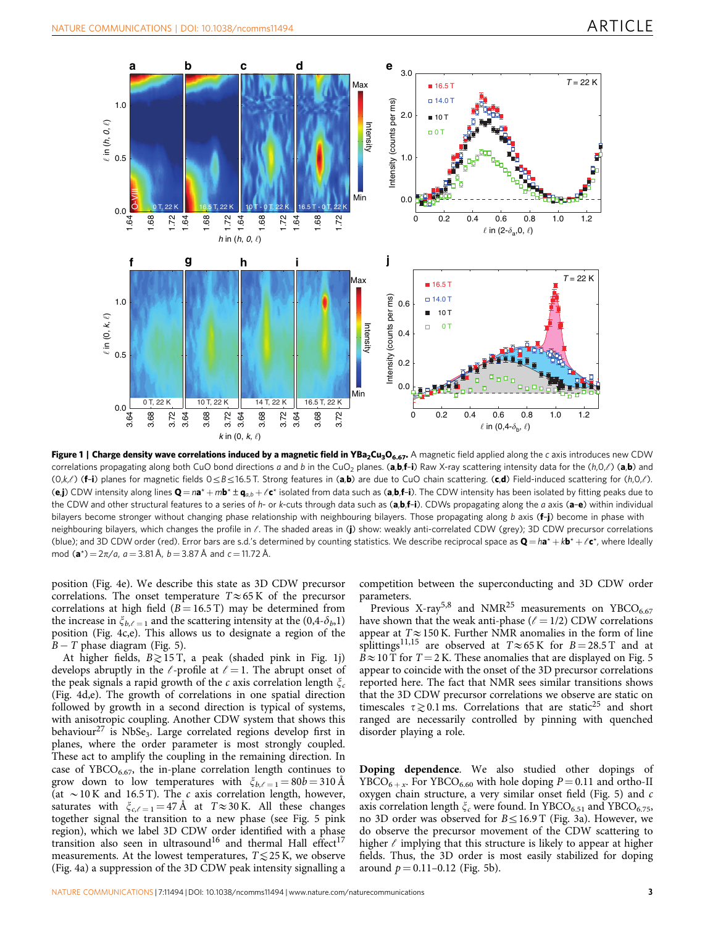<span id="page-3-0"></span>

Figure 1 | Charge density wave correlations induced by a magnetic field in YBa<sub>2</sub>Cu<sub>3</sub>O<sub>6.67</sub>. A magnetic field applied along the c axis introduces new CDW correlations propagating along both CuO bond directions a and b in the CuO<sub>2</sub> planes. (a,b,f–i) Raw X-ray scattering intensity data for the  $(h, 0, l)$  (a,b) and  $(0, k, \ell)$  (f-i) planes for magnetic fields  $0 \leq B \leq 16.5$  T. Strong features in (a,b) are due to CuO chain scattering. (c,d) Field-induced scattering for  $(h, 0, \ell)$ . (e,j) CDW intensity along lines  $\mathbf{Q} = n\mathbf{a}^* + m\mathbf{b}^* \pm \mathbf{q}_{a,b} + \ell \mathbf{c}^*$  isolated from data such as  $(a,b,f-i)$ . The CDW intensity has been isolated by fitting peaks due to the CDW and other structural features to a series of h- or k-cuts through data such as (a,b,f-i). CDWs propagating along the a axis (a-e) within individual bilayers become stronger without changing phase relationship with neighbouring bilayers. Those propagating along b axis (f-j) become in phase with neighbouring bilayers, which changes the profile in  $\ell$ . The shaded areas in (j) show: weakly anti-correlated CDW (grey); 3D CDW precursor correlations (blue); and 3D CDW order (red). Error bars are s.d.'s determined by counting statistics. We describe reciprocal space as  $\mathbf{Q} = h\mathbf{a}^* + k\mathbf{b}^* + \ell\mathbf{c}^*$ , where Ideally mod (a<sup>\*</sup>) =  $2\pi/a$ , a = 3.81 Å, b = 3.87 Å and c = 11.72 Å.

position ([Fig. 4e\)](#page-5-0). We describe this state as 3D CDW precursor correlations. The onset temperature  $T \approx 65$  K of the precursor correlations at high field ( $B = 16.5$  T) may be determined from the increase in  $\xi_{b,\ell=1}$  and the scattering intensity at the  $(0,4-\delta_b,1)$ position [\(Fig. 4c,e](#page-5-0)). This allows us to designate a region of the  $B-T$  phase diagram [\(Fig. 5\)](#page-5-0).

At higher fields,  $B \ge 15$  T, a peak (shaded pink in Fig. 1j) develops abruptly in the  $\ell$ -profile at  $\ell = 1$ . The abrupt onset of the peak signals a rapid growth of the c axis correlation length  $\zeta_c$ ([Fig. 4d,e](#page-5-0)). The growth of correlations in one spatial direction followed by growth in a second direction is typical of systems, with anisotropic coupling. Another CDW system that shows this behaviour<sup>[27](#page-6-0)</sup> is NbSe<sub>3</sub>. Large correlated regions develop first in planes, where the order parameter is most strongly coupled. These act to amplify the coupling in the remaining direction. In case of YBCO $_{6.67}$ , the in-plane correlation length continues to grow down to low temperatures with  $\zeta_{b,\ell=1} = 80b = 310 \,\text{\AA}$ (at  $\sim$  10 K and 16.5 T). The c axis correlation length, however, saturates with  $\zeta_{c,\ell=1} = 47 \text{ Å}$  at  $T \approx 30 \text{ K}$ . All these changes together signal the transition to a new phase (see [Fig. 5](#page-5-0) pink region), which we label 3D CDW order identified with a phase transition also seen in ultrasound<sup>[16](#page-6-0)</sup> and thermal Hall effect<sup>[17](#page-6-0)</sup> measurements. At the lowest temperatures,  $T \lesssim 25$  K, we observe ([Fig. 4a\)](#page-5-0) a suppression of the 3D CDW peak intensity signalling a

competition between the superconducting and 3D CDW order parameters.

Previous X-ray<sup>[5,8](#page-6-0)</sup> and NMR<sup>25</sup> measurements on YBCO<sub>6.67</sub> have shown that the weak anti-phase ( $\ell = 1/2$ ) CDW correlations appear at  $T \approx 150$  K. Further NMR anomalies in the form of line splittings<sup>[11,15](#page-6-0)</sup> are observed at  $T \approx 65$  K for  $B = 28.5$  T and at  $B \approx 10$  T for  $T = 2$  K. These anomalies that are displayed on [Fig. 5](#page-5-0) appear to coincide with the onset of the 3D precursor correlations reported here. The fact that NMR sees similar transitions shows that the 3D CDW precursor correlations we observe are static on timescales  $\tau \gtrsim 0.1$  ms. Correlations that are static<sup>25</sup> and short ranged are necessarily controlled by pinning with quenched disorder playing a role.

Doping dependence. We also studied other dopings of YBCO<sub>6+x</sub>. For YBCO<sub>6.60</sub> with hole doping  $P = 0.11$  and ortho-II oxygen chain structure, a very similar onset field ([Fig. 5\)](#page-5-0) and  $c$ axis correlation length  $\xi_c$  were found. In YBCO<sub>6.51</sub> and YBCO<sub>6.75</sub>, no 3D order was observed for  $B \le 16.9$  T ([Fig. 3a](#page-4-0)). However, we do observe the precursor movement of the CDW scattering to higher  $\ell$  implying that this structure is likely to appear at higher fields. Thus, the 3D order is most easily stabilized for doping around  $p = 0.11 - 0.12$  ([Fig. 5b\)](#page-5-0).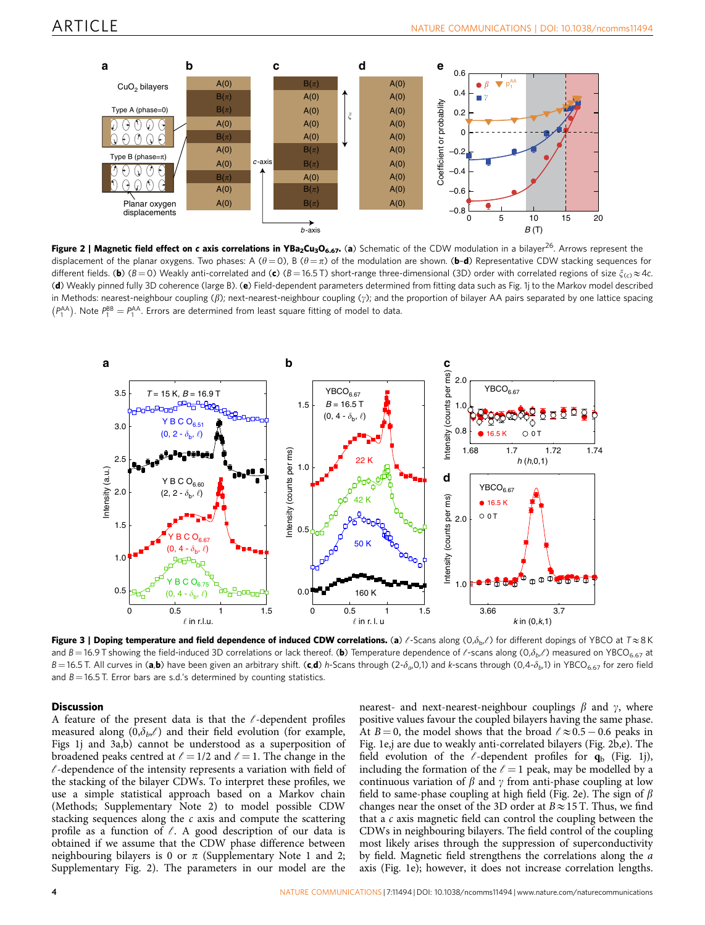<span id="page-4-0"></span>

Figure 2 | Magnetic field effect on c axis correlations in YBa<sub>2</sub>Cu<sub>3</sub>O<sub>6.67</sub>. (a) Schematic of the CDW modulation in a bilayer<sup>26</sup>. Arrows represent the displacement of the planar oxygens. Two phases: A ( $\theta = 0$ ), B ( $\theta = \pi$ ) of the modulation are shown. (b-d) Representative CDW stacking sequences for different fields. (b) ( $B = 0$ ) Weakly anti-correlated and (c) ( $B = 16.5$  T) short-range three-dimensional (3D) order with correlated regions of size  $\xi_{(c)} \approx 4c$ . (d) Weakly pinned fully 3D coherence (large B). (e) Field-dependent parameters determined from fitting data such as [Fig. 1j](#page-3-0) to the Markov model described in Methods: nearest-neighbour coupling ( $\beta$ ); next-nearest-neighbour coupling ( $\gamma$ ); and the proportion of bilayer AA pairs separated by one lattice spacing  $(P_1^{AA})$ . Note  $P_1^{BB} = P_1^{AA}$ . Errors are determined from least square fitting of model to data.



Figure 3 | Doping temperature and field dependence of induced CDW correlations. (a)  $\ell$ -Scans along (0, $\delta_{\rm b}$  $\ell$ ) for different dopings of YBCO at  $T \approx 8$  K and B = 16.9 T showing the field-induced 3D correlations or lack thereof. (b) Temperature dependence of  $\ell$ -scans along  $(0, \delta_{b}/\ell)$  measured on YBCO<sub>6.67</sub> at B = 16.5 T. All curves in (a,b) have been given an arbitrary shift. (c,d) h-Scans through (2- $\delta_a$ ,0,1) and k-scans through (0,4- $\delta_b$ ,1) in YBCO<sub>6.67</sub> for zero field and  $B = 16.5$  T. Error bars are s.d.'s determined by counting statistics.

#### **Discussion**

A feature of the present data is that the  $\ell$ -dependent profiles measured along  $(0, \delta_b, \ell)$  and their field evolution (for example, [Figs 1j and 3a,b\)](#page-3-0) cannot be understood as a superposition of broadened peaks centred at  $\ell = 1/2$  and  $\ell = 1$ . The change in the  $\ell$ -dependence of the intensity represents a variation with field of the stacking of the bilayer CDWs. To interpret these profiles, we use a simple statistical approach based on a Markov chain (Methods; Supplementary Note 2) to model possible CDW stacking sequences along the  $c$  axis and compute the scattering profile as a function of  $\ell$ . A good description of our data is obtained if we assume that the CDW phase difference between neighbouring bilayers is 0 or  $\pi$  (Supplementary Note 1 and 2; Supplementary Fig. 2). The parameters in our model are the

nearest- and next-nearest-neighbour couplings  $\beta$  and  $\gamma$ , where positive values favour the coupled bilayers having the same phase. At  $B = 0$ , the model shows that the broad  $\ell \approx 0.5 - 0.6$  peaks in [Fig. 1e,j](#page-3-0) are due to weakly anti-correlated bilayers (Fig. 2b,e). The field evolution of the  $\ell$ -dependent profiles for  $\mathbf{q}_b$  ([Fig. 1j](#page-3-0)), including the formation of the  $\ell = 1$  peak, may be modelled by a continuous variation of  $\beta$  and  $\gamma$  from anti-phase coupling at low field to same-phase coupling at high field (Fig. 2e). The sign of  $\beta$ changes near the onset of the 3D order at  $B \approx 15$  T. Thus, we find that a c axis magnetic field can control the coupling between the CDWs in neighbouring bilayers. The field control of the coupling most likely arises through the suppression of superconductivity by field. Magnetic field strengthens the correlations along the a axis ([Fig. 1e\)](#page-3-0); however, it does not increase correlation lengths.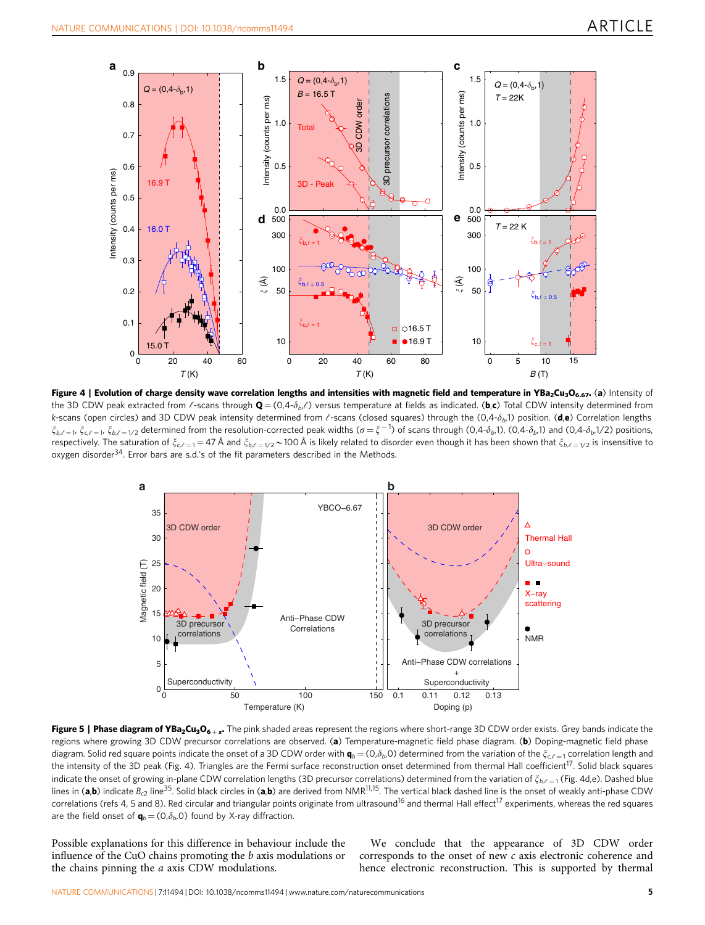<span id="page-5-0"></span>

Figure 4 | Evolution of charge density wave correlation lengths and intensities with magnetic field and temperature in YBa<sub>2</sub>Cu<sub>3</sub>O<sub>6.67</sub>. (a) Intensity of the 3D CDW peak extracted from l-scans through  $\mathbf{Q} = (0,4-\delta_{b}\ell)$  versus temperature at fields as indicated. (b,c) Total CDW intensity determined from k-scans (open circles) and 3D CDW peak intensity determined from  $\ell$ -scans (closed squares) through the (0,4- $\delta_b$ ,1) position. (d,e) Correlation lengths  $\zeta_{b,\ell=1}$ ,  $\zeta_{c,\ell=1}$ ,  $\zeta_{b,\ell=1/2}$  determined from the resolution-corrected peak widths ( $\sigma=\zeta^{-1}$ ) of scans through (0,4- $\delta_{b}$ ,1), (0,4- $\delta_{b}$ ,1) and (0,4- $\delta_{b}$ ,1/2) positions, respectively. The saturation of  $\xi_{c,c=1} = 47$  Å and  $\xi_{b,c=1/2} \sim 100$  Å is likely related to disorder even though it has been shown that  $\xi_{b,c=1/2}$  is insensitive to oxygen disorder<sup>34</sup>. Error bars are s.d.'s of the fit parameters described in the Methods.



Figure 5 | Phase diagram of YBa<sub>2</sub>Cu<sub>3</sub>O<sub>6+x</sub>. The pink shaded areas represent the regions where short-range 3D CDW order exists. Grey bands indicate the regions where growing 3D CDW precursor correlations are observed. (a) Temperature-magnetic field phase diagram. (b) Doping-magnetic field phase diagram. Solid red square points indicate the onset of a 3D CDW order with  $\mathbf{q}_b = (0, \delta_b, 0)$  determined from the variation of the  $\xi_{c,c'=1}$  correlation length and the intensity of the 3D peak (Fig. 4). Triangles are the Fermi surface reconstruction onset determined from thermal Hall coefficient<sup>17</sup>. Solid black squares indicate the onset of growing in-plane CDW correlation lengths (3D precursor correlations) determined from the variation of  $\xi_{b,\ell=1}$  (Fig. 4d,e). Dashed blue lines in (a,b) indicate B<sub>c2</sub> line<sup>35</sup>. Solid black circles in (a,b) are derived from NMR<sup>[11,15](#page-6-0)</sup>. The vertical black dashed line is the onset of weakly anti-phase CDW correlations ([refs 4, 5 and 8](#page-6-0)). Red circular and triangular points originate from ultrasound<sup>16</sup> and thermal Hall effect<sup>17</sup> experiments, whereas the red squares are the field onset of  $\mathbf{q}_b = (0,\delta_b,0)$  found by X-ray diffraction.

Possible explanations for this difference in behaviour include the influence of the CuO chains promoting the b axis modulations or the chains pinning the a axis CDW modulations.

We conclude that the appearance of 3D CDW order corresponds to the onset of new c axis electronic coherence and hence electronic reconstruction. This is supported by thermal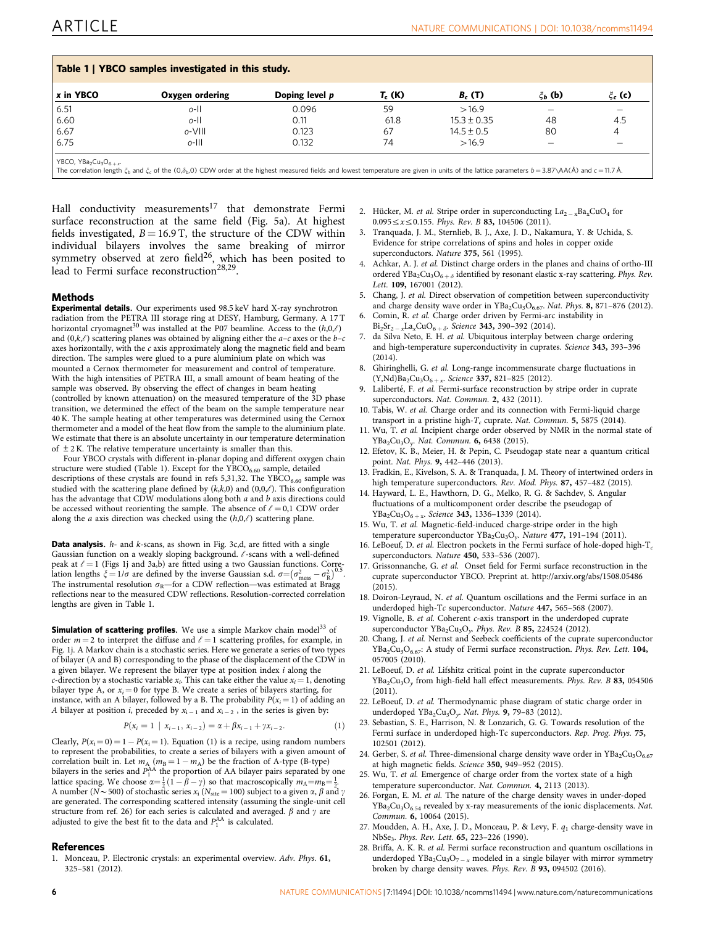<span id="page-6-0"></span>

| Table 1   YBCO samples investigated in this study. |                 |                |               |                 |             |             |
|----------------------------------------------------|-----------------|----------------|---------------|-----------------|-------------|-------------|
| x in YBCO                                          | Oxygen ordering | Doping level p | <b>T. (K)</b> | $B_c(T)$        | $\xi_b$ (b) | $\xi_c$ (c) |
| 6.51                                               | o-II            | 0.096          | 59            | >16.9           | —           |             |
| 6.60                                               | o-II            | 0.11           | 61.8          | $15.3 \pm 0.35$ | 48          | 4.5         |
| 6.67                                               | o-VIII          | 0.123          | 67            | $14.5 \pm 0.5$  | 80          | 4           |
| 6.75                                               | o-III           | 0.132          | 74            | >16.9           |             |             |
| YBCO, $YBa_2Cu_3O_{6+x}$ .                         |                 |                |               |                 |             |             |

YBCO, YBa<sub>2</sub>Cu<sub>3</sub>O<sub>6+x</sub>.<br>The correlation length  $\xi_b$  and  $\xi_c$  of the (0, $\delta_b$ 0) CDW order at the highest measured fields and lowest temperature are given in units of the lattice parameters b=3.87\AA(Å) and c=11.7 Å.

Hall conductivity measurements<sup>17</sup> that demonstrate Fermi surface reconstruction at the same field ([Fig. 5a\)](#page-5-0). At highest fields investigated,  $B = 16.9$  T, the structure of the CDW within individual bilayers involves the same breaking of mirror symmetry observed at zero field<sup>26</sup>, which has been posited to lead to Fermi surface reconstruction<sup>28,29</sup>.

#### Methods

Experimental details. Our experiments used 98.5 keV hard X-ray synchrotron radiation from the PETRA III storage ring at DESY, Hamburg, Germany. A 17 T horizontal cryomagnet<sup>[30](#page-7-0)</sup> was installed at the P07 beamline. Access to the  $(h,0,\ell)$ and  $(0, k, \ell)$  scattering planes was obtained by aligning either the  $a-c$  axes or the  $b-c$ axes horizontally, with the c axis approximately along the magnetic field and beam direction. The samples were glued to a pure aluminium plate on which was mounted a Cernox thermometer for measurement and control of temperature. With the high intensities of PETRA III, a small amount of beam heating of the sample was observed. By observing the effect of changes in beam heating (controlled by known attenuation) on the measured temperature of the 3D phase transition, we determined the effect of the beam on the sample temperature near 40 K. The sample heating at other temperatures was determined using the Cernox thermometer and a model of the heat flow from the sample to the aluminium plate. We estimate that there is an absolute uncertainty in our temperature determination of  $\pm$  2 K. The relative temperature uncertainty is smaller than this.

Four YBCO crystals with different in-planar doping and different oxygen chain structure were studied (Table 1). Except for the YBCO<sub>6.60</sub> sample, detailed descriptions of these crystals are found in refs 5,31,32. The  $YBCO_{6.60}$  sample was studied with the scattering plane defined by  $(k, k, 0)$  and  $(0, 0, \ell)$ . This configuration has the advantage that CDW modulations along both  $a$  and  $b$  axis directions could be accessed without reorienting the sample. The absence of  $\ell = 0,1$  CDW order along the *a* axis direction was checked using the  $(h,0,\ell)$  scattering plane.

**Data analysis.**  $h$ - and  $k$ -scans, as shown in [Fig. 3c,d,](#page-4-0) are fitted with a single Gaussian function on a weakly sloping background.  $\ell$ -scans with a well-defined peak at  $\ell = 1$  ([Figs 1j and 3a,b](#page-3-0)) are fitted using a two Gaussian functions. Corre-<br>lation langths  $\epsilon = 1/\epsilon$  are defined by the inverse Caussian e.d.  $\epsilon = (\epsilon^2 - \epsilon^2)^{0.5}$ lation lengths  $\xi = 1/\sigma$  are defined by the inverse Gaussian s.d.  $\sigma = (\sigma_{\rm meas}^2 - \sigma_{\rm R}^2)$ . The instrumental resolution  $\sigma_R$ —for a CDW reflection—was estimated at Bragg reflections near to the measured CDW reflections. Resolution-corrected correlation lengths are given in Table 1.

**Simulation of scattering profiles.** We use a simple Markov chain model<sup>[33](#page-7-0)</sup> of order  $m = 2$  to interpret the diffuse and  $\ell = 1$  scattering profiles, for example, in [Fig. 1j.](#page-3-0) A Markov chain is a stochastic series. Here we generate a series of two types of bilayer (A and B) corresponding to the phase of the displacement of the CDW in a given bilayer. We represent the bilayer type at position index  $i$  along the *c*-direction by a stochastic variable  $x_i$ . This can take either the value  $x_i = 1$ , denoting bilayer type A, or  $x_i = 0$  for type B. We create a series of bilayers starting, for instance, with an A bilayer, followed by a B. The probability  $P(x_i = 1)$  of adding an A bilayer at position *i*, preceded by  $x_{i-1}$  and  $x_{i-2}$  , in the series is given by:

$$
P(x_i = 1 | x_{i-1}, x_{i-2}) = \alpha + \beta x_{i-1} + \gamma x_{i-2}.
$$
 (1)

Clearly,  $P(x_i = 0) = 1 - P(x_i = 1)$ . Equation (1) is a recipe, using random numbers to represent the probabilities, to create a series of bilayers with a given amount of correlation built in. Let  $m_A$  ( $m_B = 1 - m_A$ ) be the fraction of A-type (B-type) bilayers in the series and  $P_1^{AA}$  the proportion of AA bilayer pairs separated by one lattice spacing. We choose  $\alpha = \frac{1}{2}(1 - \beta - \gamma)$  so tha A number ( $N \sim 500$ ) of stochastic series  $x_i$  ( $N_{\text{site}} = 100$ ) subject to a given  $\alpha$ ,  $\beta$  and  $\gamma$ are generated. The corresponding scattered intensity (assuming the single-unit cell structure from ref. 26) for each series is calculated and averaged.  $\beta$  and  $\gamma$  are adjusted to give the best fit to the data and  $P_1^{AA}$  is calculated.

#### **References**

1. Monceau, P. Electronic crystals: an experimental overview. Adv. Phys. 61, 325–581 (2012).

2. Hücker, M. *et al.* Stripe order in superconducting  $La_{2-x}Ba_xCuO_4$  for  $0.095 \le x \le 0.155$ . Phys. Rev. B 83, 104506 (2011).

- 3. Tranquada, J. M., Sternlieb, B. J., Axe, J. D., Nakamura, Y. & Uchida, S. Evidence for stripe correlations of spins and holes in copper oxide superconductors. Nature 375, 561 (1995).
- 4. Achkar, A. J. et al. Distinct charge orders in the planes and chains of ortho-III ordered YBa<sub>2</sub>Cu<sub>3</sub>O<sub>6 +  $\delta$ </sub> identified by resonant elastic x-ray scattering. *Phys. Rev.* Lett. 109, 167001 (2012).
- 5. Chang, J. et al. Direct observation of competition between superconductivity and charge density wave order in  $YBa_2Cu_3O_{6.67}$ . Nat. Phys. 8, 871-876 (2012).
- 6. Comin, R. et al. Charge order driven by Fermi-arc instability in  $Bi_2Sr_2 = xLa_xCuO_6 + \delta$ . Science 343, 390–392 (2014).
- 7. da Silva Neto, E. H. et al. Ubiquitous interplay between charge ordering and high-temperature superconductivity in cuprates. Science 343, 393–396 (2014).
- 8. Ghiringhelli, G. et al. Long-range incommensurate charge fluctuations in  $(Y,Nd)Ba<sub>2</sub>Cu<sub>3</sub>O<sub>6+x</sub>$ . Science 337, 821-825 (2012).
- Laliberté, F. et al. Fermi-surface reconstruction by stripe order in cuprate superconductors. Nat. Commun. 2, 432 (2011).
- 10. Tabis, W. et al. Charge order and its connection with Fermi-liquid charge transport in a pristine high- $T_c$  cuprate. Nat. Commun. 5, 5875 (2014).
- 11. Wu, T. et al. Incipient charge order observed by NMR in the normal state of YBa<sub>2</sub>Cu<sub>3</sub>O<sub>y</sub>, Nat. Commun. **6**, 6438 (2015).
- 12. Efetov, K. B., Meier, H. & Pepin, C. Pseudogap state near a quantum critical point. Nat. Phys. 9, 442–446 (2013).
- 13. Fradkin, E., Kivelson, S. A. & Tranquada, J. M. Theory of intertwined orders in high temperature superconductors. Rev. Mod. Phys. 87, 457–482 (2015).
- 14. Hayward, L. E., Hawthorn, D. G., Melko, R. G. & Sachdev, S. Angular fluctuations of a multicomponent order describe the pseudogap of  $YBa<sub>2</sub>Cu<sub>3</sub>O<sub>6+x</sub>$ . Science 343, 1336–1339 (2014).
- 15. Wu, T. et al. Magnetic-field-induced charge-stripe order in the high temperature superconductor YBa<sub>2</sub>Cu<sub>3</sub>O<sub>v</sub>. Nature 477, 191-194 (2011).
- 16. LeBoeuf, D. et al. Electron pockets in the Fermi surface of hole-doped high- $T_c$ superconductors. Nature 450, 533–536 (2007).
- 17. Grissonnanche, G. et al. Onset field for Fermi surface reconstruction in the cuprate superconductor YBCO. Preprint at.<http://arxiv.org/abs/1508.05486> (2015).
- 18. Doiron-Leyraud, N. et al. Quantum oscillations and the Fermi surface in an underdoped high-Tc superconductor. Nature 447, 565–568 (2007).
- 19. Vignolle, B. et al. Coherent  $c$ -axis transport in the underdoped cuprate superconductor  $YBa<sub>2</sub>Cu<sub>3</sub>O<sub>y</sub>$ . Phys. Rev. B 85, 224524 (2012).
- 20. Chang, J. et al. Nernst and Seebeck coefficients of the cuprate superconductor  $YBa<sub>2</sub>Cu<sub>3</sub>O<sub>6.67</sub>$ : A study of Fermi surface reconstruction. *Phys. Rev. Lett.* 104, 057005 (2010).
- 21. LeBoeuf, D. et al. Lifshitz critical point in the cuprate superconductor  $YBa<sub>2</sub>Cu<sub>3</sub>O<sub>y</sub>$  from high-field hall effect measurements. Phys. Rev. B 83, 054506 (2011).
- 22. LeBoeuf, D. et al. Thermodynamic phase diagram of static charge order in underdoped YBa<sub>2</sub>Cu<sub>3</sub>O<sub>y</sub>. Nat. Phys. 9, 79-83 (2012).
- 23. Sebastian, S. E., Harrison, N. & Lonzarich, G. G. Towards resolution of the Fermi surface in underdoped high-Tc superconductors. Rep. Prog. Phys. 75, 102501 (2012).
- 24. Gerber, S. et al. Three-dimensional charge density wave order in  $YBa<sub>2</sub>Cu<sub>3</sub>O<sub>6.67</sub>$ at high magnetic fields. Science 350, 949–952 (2015).
- 25. Wu, T. et al. Emergence of charge order from the vortex state of a high temperature superconductor. Nat. Commun. 4, 2113 (2013).
- 26. Forgan, E. M. et al. The nature of the charge density waves in under-doped  $YBa<sub>2</sub>Cu<sub>3</sub>O<sub>6.54</sub>$  revealed by x-ray measurements of the ionic displacements. Nat. Commun. 6, 10064 (2015).
- 27. Moudden, A. H., Axe, J. D., Monceau, P. & Levy, F.  $q_1$  charge-density wave in NbSe3. Phys. Rev. Lett. 65, 223–226 (1990).
- 28. Briffa, A. K. R. et al. Fermi surface reconstruction and quantum oscillations in underdoped YBa<sub>2</sub>Cu<sub>3</sub>O<sub>7</sub> – <sub>x</sub> modeled in a single bilayer with mirror symmetry broken by charge density waves. Phys. Rev. B 93, 094502 (2016).